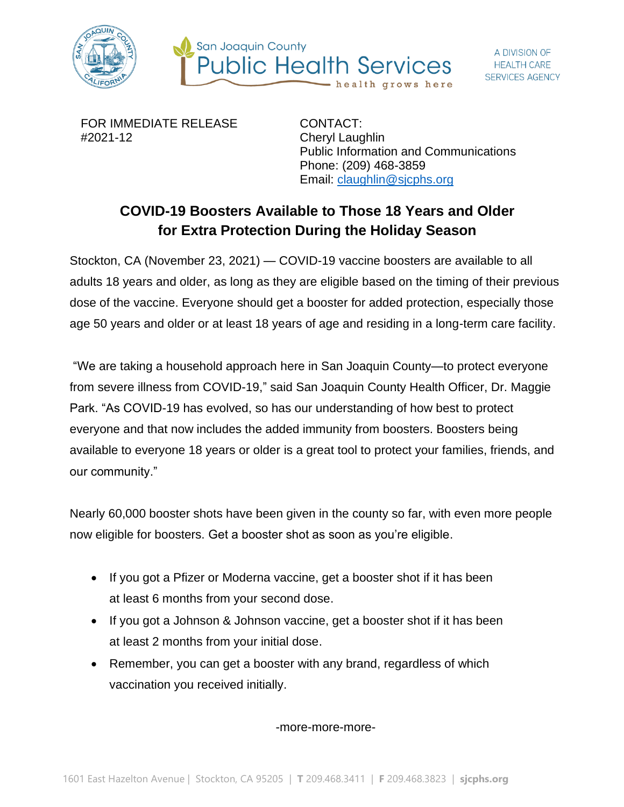



FOR IMMEDIATE RELEASE #2021-12

CONTACT: Cheryl Laughlin Public Information and Communications Phone: (209) 468-3859 Email: [claughlin@sjcphs.org](mailto:claughlin@sjcphs.org)

## **COVID-19 Boosters Available to Those 18 Years and Older for Extra Protection During the Holiday Season**

Stockton, CA (November 23, 2021) — COVID-19 vaccine boosters are available to all adults 18 years and older, as long as they are eligible based on the timing of their previous dose of the vaccine. Everyone should get a booster for added protection, especially those age 50 years and older or at least 18 years of age and residing in a long-term care facility.

"We are taking a household approach here in San Joaquin County—to protect everyone from severe illness from COVID-19," said San Joaquin County Health Officer, Dr. Maggie Park. "As COVID-19 has evolved, so has our understanding of how best to protect everyone and that now includes the added immunity from boosters. Boosters being available to everyone 18 years or older is a great tool to protect your families, friends, and our community."

Nearly 60,000 booster shots have been given in the county so far, with even more people now eligible for boosters. Get a booster shot as soon as you're eligible.

- If you got a Pfizer or Moderna vaccine, get a booster shot if it has been at least 6 months from your second dose.
- If you got a Johnson & Johnson vaccine, get a booster shot if it has been at least 2 months from your initial dose.
- Remember, you can get a booster with any brand, regardless of which vaccination you received initially.

-more-more-more-